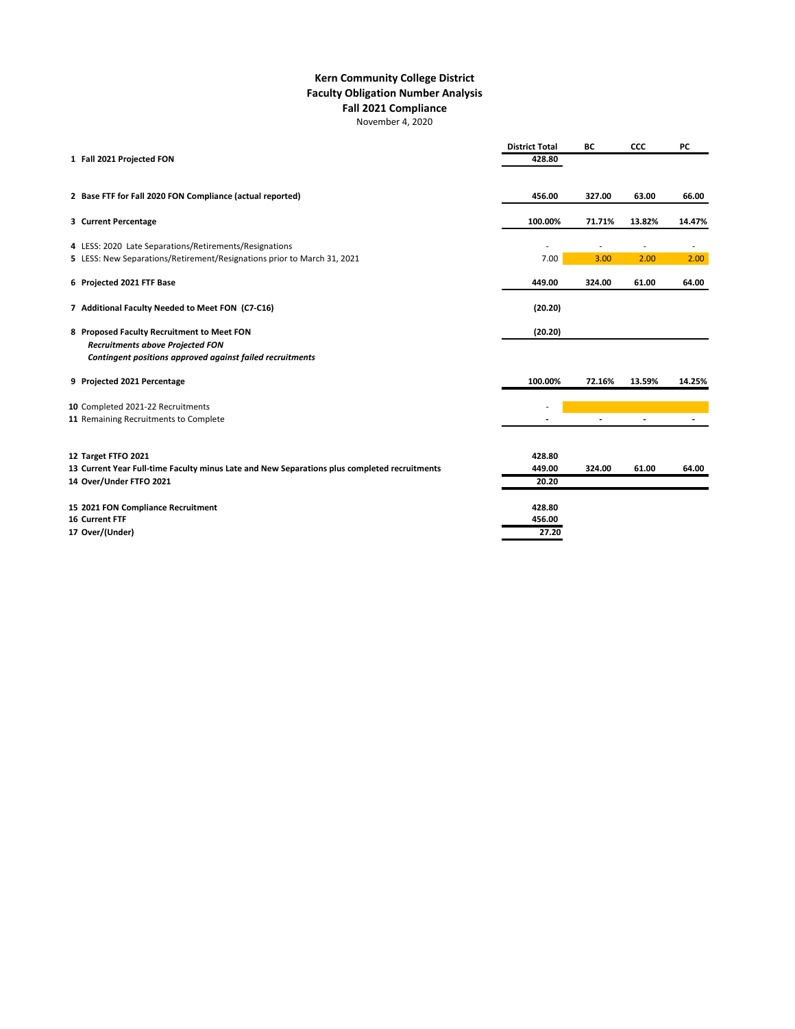|                                                                                                      | <b>District Total</b> | <b>BC</b> | <b>CCC</b>               | <b>PC</b> |
|------------------------------------------------------------------------------------------------------|-----------------------|-----------|--------------------------|-----------|
| 1 Fall 2021 Projected FON                                                                            | 428.80                |           |                          |           |
| 2 Base FTF for Fall 2020 FON Compliance (actual reported)                                            | 456.00                | 327.00    | 63.00                    | 66.00     |
| 3 Current Percentage                                                                                 | 100.00%               | 71.71%    | 13.82%                   | 14.47%    |
| 4 LESS: 2020 Late Separations/Retirements/Resignations                                               |                       |           | $\overline{\phantom{m}}$ |           |
| 5 LESS: New Separations/Retirement/Resignations prior to March 31, 2021                              | 7.00                  | 3.00      | 2.00                     | 2.00      |
| 6 Projected 2021 FTF Base                                                                            | 449.00                | 324.00    | 61.00                    | 64.00     |
| 7 Additional Faculty Needed to Meet FON (C7-C16)                                                     | (20.20)               |           |                          |           |
| 8 Proposed Faculty Recruitment to Meet FON                                                           | (20.20)               |           |                          |           |
| <b>Recruitments above Projected FON</b><br>Contingent positions approved against failed recruitments |                       |           |                          |           |
| 9 Projected 2021 Percentage                                                                          | 100.00%               | 72.16%    | 13.59%                   | 14.25%    |
| 10 Completed 2021-22 Recruitments                                                                    |                       |           |                          |           |
| 11 Remaining Recruitments to Complete                                                                |                       |           | $\blacksquare$           |           |
|                                                                                                      |                       |           |                          |           |
| 12 Target FTFO 2021                                                                                  | 428.80                |           |                          |           |
| 13 Current Year Full-time Faculty minus Late and New Separations plus completed recruitments         | 449.00                | 324.00    | 61.00                    | 64.00     |
| 14 Over/Under FTFO 2021                                                                              | 20.20                 |           |                          |           |
| 15 2021 FON Compliance Recruitment                                                                   | 428.80                |           |                          |           |
| <b>16 Current FTF</b>                                                                                | 456.00                |           |                          |           |
| 17 Over/(Under)                                                                                      | 27.20                 |           |                          |           |

## **Kern Community College District Faculty Obligation Number Analysis Fall 2021 Compliance** November 4, 2020